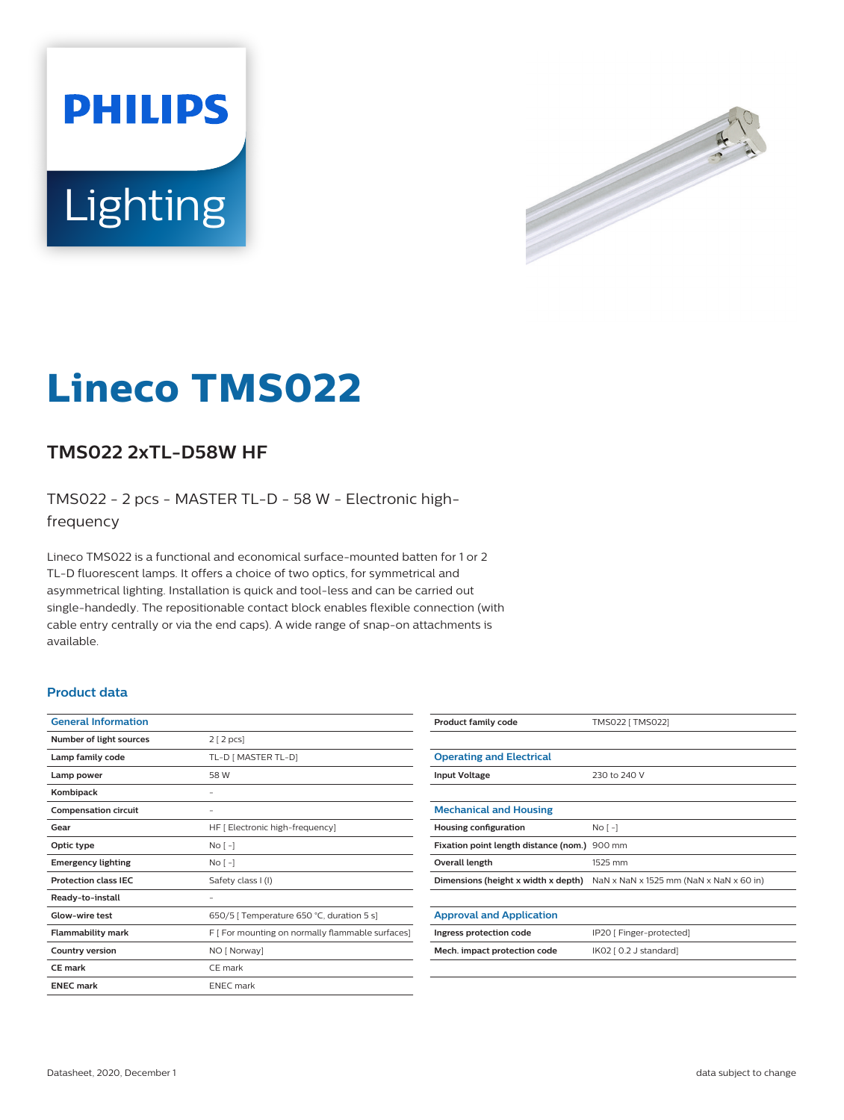



# **Lineco TMS022**

## **TMS022 2xTL-D58W HF**

TMS022 - 2 pcs - MASTER TL-D - 58 W - Electronic highfrequency

Lineco TMS022 is a functional and economical surface-mounted batten for 1 or 2 TL-D fluorescent lamps. It offers a choice of two optics, for symmetrical and asymmetrical lighting. Installation is quick and tool-less and can be carried out single-handedly. The repositionable contact block enables flexible connection (with cable entry centrally or via the end caps). A wide range of snap-on attachments is available.

#### **Product data**

| <b>General Information</b>  |                                                  |
|-----------------------------|--------------------------------------------------|
| Number of light sources     | 2 [2 pcs]                                        |
| Lamp family code            | TL-D [ MASTER TL-D]                              |
| Lamp power                  | 58 W                                             |
| Kombipack                   |                                                  |
| <b>Compensation circuit</b> |                                                  |
| Gear                        | HF [ Electronic high-frequency]                  |
| Optic type                  | $No[-]$                                          |
| <b>Emergency lighting</b>   | No <sub>1</sub>                                  |
| <b>Protection class IEC</b> | Safety class I (I)                               |
| Ready-to-install            |                                                  |
| Glow-wire test              | 650/5   Temperature 650 °C, duration 5 s]        |
| <b>Flammability mark</b>    | F [ For mounting on normally flammable surfaces] |
| <b>Country version</b>      | NO [ Norway]                                     |
| <b>CE</b> mark              | CE mark                                          |
| <b>ENEC mark</b>            | <b>ENEC</b> mark                                 |
|                             |                                                  |

| <b>Product family code</b>            | TMS022 [ TMS022]                        |
|---------------------------------------|-----------------------------------------|
|                                       |                                         |
| <b>Operating and Electrical</b>       |                                         |
| <b>Input Voltage</b>                  | 230 to 240 V                            |
|                                       |                                         |
| <b>Mechanical and Housing</b>         |                                         |
| Housing configuration                 | No <sub>1</sub>                         |
| Fixation point length distance (nom.) | 900 mm                                  |
| Overall length                        | 1525 mm                                 |
| Dimensions (height x width x depth)   | NaN x NaN x 1525 mm (NaN x NaN x 60 in) |
|                                       |                                         |
| <b>Approval and Application</b>       |                                         |
| Ingress protection code               | IP20 [ Finger-protected]                |
| Mech. impact protection code          | IK02 [ 0.2 J standard]                  |
|                                       |                                         |